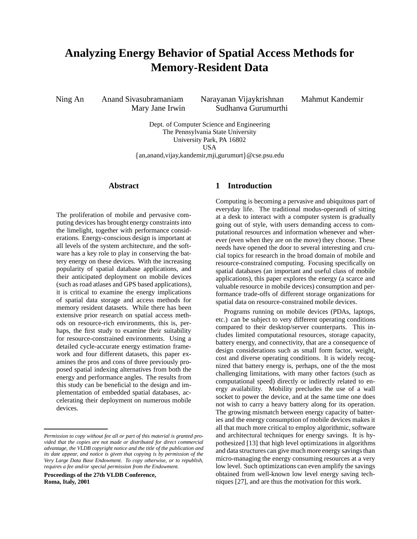# **Analyzing Energy Behavior of Spatial Access Methods for Memory-Resident Data**

Ning An Anand Sivasubramaniam Narayanan Vijaykrishnan Mahmut Kandemir

Mary Jane Irwin Sudhanva Gurumurthi

Dept. of Computer Science and Engineering The Pennsylvania State University University Park, PA 16802 USA {an,anand,vijay,kandemir,mji,gurumurt}@cse.psu.edu

## **Abstract**

The proliferation of mobile and pervasive computing devices has brought energy constraints into the limelight, together with performance considerations. Energy-conscious design is important at all levels of the system architecture, and the software has a key role to play in conserving the battery energy on these devices. With the increasing popularity of spatial database applications, and their anticipated deployment on mobile devices (such as road atlases and GPS based applications), it is critical to examine the energy implications of spatial data storage and access methods for memory resident datasets. While there has been extensive prior research on spatial access methods on resource-rich environments, this is, perhaps, the first study to examine their suitability for resource-constrained environments. Using a detailed cycle-accurate energy estimation framework and four different datasets, this paper examines the pros and cons of three previously proposed spatial indexing alternatives from both the energy and performance angles. The results from this study can be beneficial to the design and implementation of embedded spatial databases, accelerating their deployment on numerous mobile devices.

**Proceedings of the 27th VLDB Conference, Roma, Italy, 2001**

## **1 Introduction**

Computing is becoming a pervasive and ubiquitous part of everyday life. The traditional modus-operandi of sitting at a desk to interact with a computer system is gradually going out of style, with users demanding access to computational resources and information whenever and wherever (even when they are on the move) they choose. These needs have opened the door to several interesting and crucial topics for research in the broad domain of mobile and resource-constrained computing. Focusing specifically on spatial databases (an important and useful class of mobile applications), this paper explores the energy (a scarce and valuable resource in mobile devices) consumption and performance trade-offs of different storage organizations for spatial data on resource-constrained mobile devices.

Programs running on mobile devices (PDAs, laptops, etc.) can be subject to very different operating conditions compared to their desktop/server counterparts. This includes limited computational resources, storage capacity, battery energy, and connectivity, that are a consequence of design considerations such as small form factor, weight, cost and diverse operating conditions. It is widely recognized that battery energy is, perhaps, one of the the most challenging limitations, with many other factors (such as computational speed) directly or indirectly related to energy availability. Mobility precludes the use of a wall socket to power the device, and at the same time one does not wish to carry a heavy battery along for its operation. The growing mismatch between energy capacity of batteries and the energy consumption of mobile devices makes it all that much more critical to employ algorithmic, software and architectural techniques for energy savings. It is hypothesized [13] that high level optimizations in algorithms and data structures can give much more energy savings than micro-managing the energy consuming resources at a very low level. Such optimizations can even amplify the savings obtained from well-known low level energy saving techniques [27], and are thus the motivation for this work.

*Permission to copy without fee all or part of this material is granted provided that the copies are not made or distributed for direct commercial advantage, the VLDB copyright notice and the title of the publication and its date appear, and notice is given that copying is by permission of the Very Large Data Base Endowment. To copy otherwise, or to republish, requires a fee and/or special permission from the Endowment.*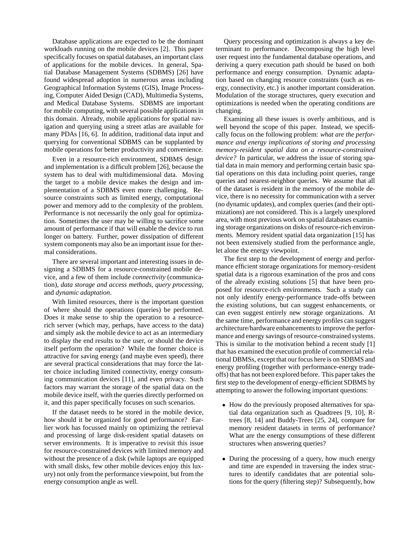Database applications are expected to be the dominant workloads running on the mobile devices [2]. This paper specifically focuses on spatial databases, an important class of applications for the mobile devices. In general, Spatial Database Management Systems (SDBMS) [26] have found widespread adoption in numerous areas including Geographical Information Systems (GIS), Image Processing, Computer Aided Design (CAD), Multimedia Systems, and Medical Database Systems. SDBMS are important for mobile computing, with several possible applications in this domain. Already, mobile applications for spatial navigation and querying using a street atlas are available for many PDAs [16, 6]. In addition, traditional data input and querying for conventional SDBMS can be supplanted by mobile operations for better productivity and convenience.

Even in a resource-rich environment, SDBMS design and implementation is a difficult problem [26], because the system has to deal with multidimensional data. Moving the target to a mobile device makes the design and implementation of a SDBMS even more challenging. Resource constraints such as limited energy, computational power and memory add to the complexity of the problem. Performance is not necessarily the only goal for optimization. Sometimes the user may be willing to sacrifice some amount of performance if that will enable the device to run longer on battery. Further, power dissipation of different system components may also be an important issue for thermal considerations.

There are several important and interesting issues in designing a SDBMS for a resource-constrained mobile device, and a few of them include *connectivity* (communication), *data storage and access methods*, *query processing*, and *dynamic adaptation*.

With limited resources, there is the important question of where should the operations (queries) be performed. Does it make sense to ship the operation to a resourcerich server (which may, perhaps, have access to the data) and simply ask the mobile device to act as an intermediary to display the end results to the user, or should the device itself perform the operation? While the former choice is attractive for saving energy (and maybe even speed), there are several practical considerations that may force the latter choice including limited connectivity, energy consuming communication devices [11], and even privacy. Such factors may warrant the storage of the spatial data on the mobile device itself, with the queries directly performed on it, and this paper specifically focuses on such scenarios.

If the dataset needs to be stored in the mobile device, how should it be organized for good performance? Earlier work has focussed mainly on optimizing the retrieval and processing of large disk-resident spatial datasets on server environments. It is imperative to revisit this issue for resource-constrained devices with limited memory and without the presence of a disk (while laptops are equipped with small disks, few other mobile devices enjoy this luxury) not only from the performance viewpoint, but from the energy consumption angle as well.

Query processing and optimization is always a key determinant to performance. Decomposing the high level user request into the fundamental database operations, and deriving a query execution path should be based on both performance and energy consumption. Dynamic adaptation based on changing resource constraints (such as energy, connectivity, etc.) is another important consideration. Modulation of the storage structures, query execution and optimizations is needed when the operating conditions are changing.

Examining all these issues is overly ambitious, and is well beyond the scope of this paper. Instead, we specifically focus on the following problem: *what are the performance and energy implications of storing and processing memory-resident spatial data on a resource-constrained device?* In particular, we address the issue of storing spatial data in main memory and performing certain basic spatial operations on this data including point queries, range queries and nearest-neighbor queries. We assume that all of the dataset is resident in the memory of the mobile device, there is no necessity for communication with a server (no dynamic updates), and complex queries (and their optimizations) are not considered. This is a largely unexplored area, with most previous work on spatial databases examining storage organizations on disks of resource-rich environments. Memory resident spatial data organization [15] has not been extensively studied from the performance angle, let alone the energy viewpoint.

The first step to the development of energy and performance efficient storage organizations for memory-resident spatial data is a rigorous examination of the pros and cons of the already existing solutions [5] that have been proposed for resource-rich environments. Such a study can not only identify energy-performance trade-offs between the existing solutions, but can suggest enhancements, or can even suggest entirely new storage organizations. At the same time, performance and energy profiles can suggest architecture/hardware enhancements to improve the performance and energy savings of resource-constrained systems. This is similar to the motivation behind a recent study [1] that has examined the execution profile of commercial relational DBMSs, except that our focus here is on SDBMS and energy profiling (together with performance-energy tradeoffs) that has not been explored before. This paper takes the first step to the development of energy-efficient SDBMS by attempting to answer the following important questions:

- How do the previously proposed alternatives for spatial data organization such as Quadtrees [9, 10], Rtrees [8, 14] and Buddy-Trees [25, 24], compare for memory resident datasets in terms of performance? What are the energy consumptions of these different structures when answering queries?
- During the processing of a query, how much energy and time are expended in traversing the index structures to identify candidates that are potential solutions for the query (filtering step)? Subsequently, how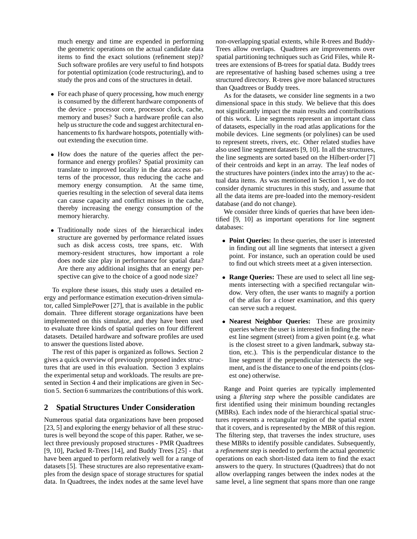much energy and time are expended in performing the geometric operations on the actual candidate data items to find the exact solutions (refinement step)? Such software profiles are very useful to find hotspots for potential optimization (code restructuring), and to study the pros and cons of the structures in detail.

- For each phase of query processing, how much energy is consumed by the different hardware components of the device - processor core, processor clock, cache, memory and buses? Such a hardware profile can also help us structure the code and suggest architectural enhancements to fix hardware hotspots, potentially without extending the execution time.
- How does the nature of the queries affect the performance and energy profiles? Spatial proximity can translate to improved locality in the data access patterns of the processor, thus reducing the cache and memory energy consumption. At the same time, queries resulting in the selection of several data items can cause capacity and conflict misses in the cache, thereby increasing the energy consumption of the memory hierarchy.
- Traditionally node sizes of the hierarchical index structure are governed by performance related issues such as disk access costs, tree spans, etc. With memory-resident structures, how important a role does node size play in performance for spatial data? Are there any additional insights that an energy perspective can give to the choice of a good node size?

To explore these issues, this study uses a detailed energy and performance estimation execution-driven simulator, called SimplePower [27], that is available in the public domain. Three different storage organizations have been implemented on this simulator, and they have been used to evaluate three kinds of spatial queries on four different datasets. Detailed hardware and software profiles are used to answer the questions listed above.

The rest of this paper is organized as follows. Section 2 gives a quick overview of previously proposed index structures that are used in this evaluation. Section 3 explains the experimental setup and workloads. The results are presented in Section 4 and their implications are given in Section 5. Section 6 summarizes the contributions of this work.

# **2 Spatial Structures Under Consideration**

Numerous spatial data organizations have been proposed [23, 5] and exploring the energy behavior of all these structures is well beyond the scope of this paper. Rather, we select three previously proposed structures - PMR Quadtrees [9, 10], Packed R-Trees [14], and Buddy Trees [25] - that have been argued to perform relatively well for a range of datasets [5]. These structures are also representative examples from the design space of storage structures for spatial data. In Quadtrees, the index nodes at the same level have

non-overlapping spatial extents, while R-trees and Buddy-Trees allow overlaps. Quadtrees are improvements over spatial partitioning techniques such as Grid Files, while Rtrees are extensions of B-trees for spatial data. Buddy trees are representative of hashing based schemes using a tree structured directory. R-trees give more balanced structures than Quadtrees or Buddy trees.

As for the datasets, we consider line segments in a two dimensional space in this study. We believe that this does not significantly impact the main results and contributions of this work. Line segments represent an important class of datasets, especially in the road atlas applications for the mobile devices. Line segments (or polylines) can be used to represent streets, rivers, etc. Other related studies have also used line segment datasets [9, 10]. In all the structures, the line segments are sorted based on the Hilbert-order [7] of their centroids and kept in an array. The leaf nodes of the structures have pointers (index into the array) to the actual data items. As was mentioned in Section 1, we do not consider dynamic structures in this study, and assume that all the data items are pre-loaded into the memory-resident database (and do not change).

We consider three kinds of queries that have been identified [9, 10] as important operations for line segment databases:

- **Point Queries:** In these queries, the user is interested in finding out all line segments that intersect a given point. For instance, such an operation could be used to find out which streets meet at a given intersection.
- **Range Queries:** These are used to select all line segments intersecting with a specified rectangular window. Very often, the user wants to magnify a portion of the atlas for a closer examination, and this query can serve such a request.
- **Nearest Neighbor Queries:** These are proximity queries where the user is interested in finding the nearest line segment (street) from a given point (e.g. what is the closest street to a given landmark, subway station, etc.). This is the perpendicular distance to the line segment if the perpendicular intersects the segment, and is the distance to one of the end points (closest one) otherwise.

Range and Point queries are typically implemented using a *filtering step* where the possible candidates are first identified using their minimum bounding rectangles (MBRs). Each index node of the hierarchical spatial structures represents a rectangular region of the spatial extent that it covers, and is represented by the MBR of this region. The filtering step, that traverses the index structure, uses these MBRs to identify possible candidates. Subsequently, a *refinement step* is needed to perform the actual geometric operations on each short-listed data item to find the exact answers to the query. In structures (Quadtrees) that do not allow overlapping ranges between the index nodes at the same level, a line segment that spans more than one range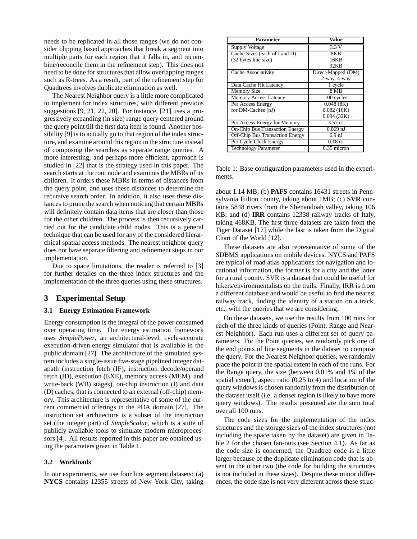needs to be replicated in all those ranges (we do not consider clipping based approaches that break a segment into multiple parts for each region that it falls in, and recombine/reconcile them in the refinement step). This does not need to be done for structures that allow overlapping ranges such as R-trees. As a result, part of the refinement step for Quadtrees involves duplicate elimination as well.

The Nearest Neighbor query is a little more complicated to implement for index structures, with different previous suggestions [9, 21, 22, 20]. For instance, [21] uses a progressively expanding (in size) range query centered around the query point till the first data item is found. Another possibility [9] is to actually go to that region of the index structure, and examine around this region in the structure instead of composing the searches as separate range queries. A more interesting, and perhaps more efficient, approach is studied in [22] that is the strategy used in this paper. The search starts at the root node and examines the MBRs of its children. It orders these MBRs in terms of distances from the query point, and uses these distances to determine the recursive search order. In addition, it also uses these distances to prune the search when noticing that certain MBRs will definitely contain data items that are closer than those for the other children. The process is then recursively carried out for the candidate child nodes. This is a general technique that can be used for any of the considered hierarchical spatial access methods. The nearest neighbor query does not have separate filtering and refinement steps in our implementation.

Due to space limitations, the reader is referred to [3] for further detailes on the three index structures and the implementation of the three queries using these structures.

## **3 Experimental Setup**

#### **3.1 Energy Estimation Framework**

Energy consumption is the integral of the power consumed over operating time. Our energy estimation framework uses *SimplePower*, an architectural-level, cycle-accurate execution-driven energy simulator that is available in the public domain [27]. The architecture of the simulated system includes a single-issue five-stage pipelined integer datapath (instruction fetch (IF), instruction decode/operand fetch (ID), execution (EXE), memory access (MEM), and write-back (WB) stages), on-chip instruction (I) and data (D) caches, that is connected to an external (off-chip) memory. This architecture is representative of some of the current commercial offerings in the PDA domain [27]. The instruction set architecture is a subset of the instruction set (the integer part) of *SimpleScalar*, which is a suite of publicly available tools to simulate modern microprocessors [4]. All results reported in this paper are obtained using the parameters given in Table 1.

#### **3.2 Workloads**

In our experiments, we use four line segment datasets: (a) **NYCS** contains 12355 streets of New York City, taking

| Parameter                              | Value              |
|----------------------------------------|--------------------|
| Supply Voltage                         | 3.3V               |
| Cache Sizes (each of I and D)          | 8KB                |
| (32 bytes line size)                   | 16KB               |
|                                        | 32KB               |
| Cache Associativity                    | Direct-Mapped (DM) |
|                                        | 2-way, 4-way       |
| Data Cache Hit Latency                 | 1 cycle            |
| <b>Memory Size</b>                     | 8 MB               |
| Memory Access Latency                  | 100 cycles         |
| Per Access Energy                      | 0.048(8K)          |
| for DM-Caches (nJ)                     | 0.082(16K)         |
|                                        | 0.094(32K)         |
| Per Access Energy for Memory           | $3.57$ nJ          |
| <b>On-Chip Bus Transaction Energy</b>  | $0.069$ nJ         |
| <b>Off-Chip Bus Transaction Energy</b> | 6.9 <sub>nl</sub>  |
| Per Cycle Clock Energy                 | $0.18 \text{ nJ}$  |
| <b>Technology Parameter</b>            | $0.35$ micron      |

Table 1: Base configuration parameters used in the experiments.

about 1.14 MB; (b) **PAFS** contains 16431 streets in Pennsylvania Fulton county, taking about 1MB; (c) **SVR** contains 5848 rivers from the Shenandoah valley, taking 106 KB; and (d) **IRR** contains 12338 railway tracks of Italy, taking 468KB. The first three datasets are taken from the Tiger Dataset [17] while the last is taken from the Digital Chart of the World [12].

These datasets are also representative of some of the SDBMS applications on mobile devices. NYCS and PAFS are typical of road atlas applications for navigation and locational information, the former is for a city and the latter for a rural county. SVR is a dataset that could be useful for hikers/environmentalists on the trails. Finally, IRR is from a different database and would be useful to find the nearest railway track, finding the identity of a station on a track, etc., with the queries that we are considering.

On these datasets, we use the results from 100 runs for each of the three kinds of queries (Point, Range and Nearest Neighbor). Each run uses a different set of query parameters. For the Point queries, we randomly pick one of the end points of line segments in the dataset to compose the query. For the Nearest Neighbor queries, we randomly place the point in the spatial extent in each of the runs. For the Range query, the size (between 0.01% and 1% of the spatial extent), aspect ratio (0.25 to 4) and location of the query windows is chosen randomly from the distribution of the dataset itself (i.e. a denser region is likely to have more query windows). The results presented are the sum total over all 100 runs.

The code sizes for the implementation of the index structures and the storage sizes of the index structures (not including the space taken by the dataset) are given in Table 2 for the chosen fan-outs (see Section 4.1). As far as the code size is concerned, the Quadtree code is a little larger because of the duplicate elimination code that is absent in the other two (the code for building the structures is not included in these sizes). Despite these minor differences, the code size is not very different across these struc-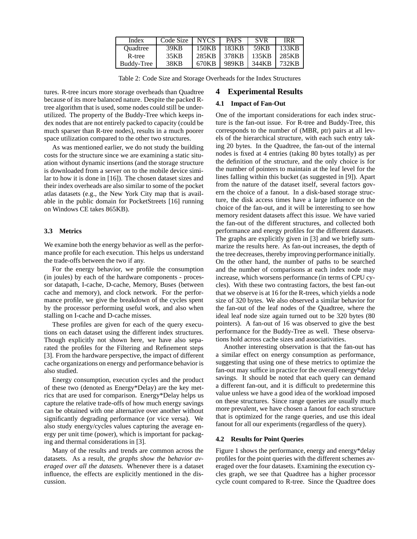| Index           | Code Size | <b>NYCS</b> | <b>PAFS</b> | <b>SVR</b> | <b>IRR</b> |
|-----------------|-----------|-------------|-------------|------------|------------|
| <b>Ouadtree</b> | 39KB      | 150KB       | 183KB       | 59KB       | 133KB      |
| R-tree          | 35KB      | 285KB       | 378KB       | 135KB      | 285KB      |
| Buddy-Tree      | 38KB      | 670KB       | 989KB       | 344KB      | 732KB      |

Table 2: Code Size and Storage Overheads for the Index Structures

tures. R-tree incurs more storage overheads than Quadtree because of its more balanced nature. Despite the packed Rtree algorithm that is used, some nodes could still be underutilized. The property of the Buddy-Tree which keeps index nodes that are not entirely packed to capacity (could be much sparser than R-tree nodes), results in a much poorer space utilization compared to the other two structures.

As was mentioned earlier, we do not study the building costs for the structure since we are examining a static situation without dynamic insertions (and the storage structure is downloaded from a server on to the mobile device similar to how it is done in [16]). The chosen dataset sizes and their index overheads are also similar to some of the pocket atlas datasets (e.g., the New York City map that is available in the public domain for PocketStreets [16] running on Windows CE takes 865KB).

## **3.3 Metrics**

We examine both the energy behavior as well as the performance profile for each execution. This helps us understand the trade-offs between the two if any.

For the energy behavior, we profile the consumption (in joules) by each of the hardware components - processor datapath, I-cache, D-cache, Memory, Buses (between cache and memory), and clock network. For the performance profile, we give the breakdown of the cycles spent by the processor performing useful work, and also when stalling on I-cache and D-cache misses.

These profiles are given for each of the query executions on each dataset using the different index structures. Though explicitly not shown here, we have also separated the profiles for the Filtering and Refinement steps [3]. From the hardware perspective, the impact of different cache organizations on energy and performance behavior is also studied.

Energy consumption, execution cycles and the product of these two (denoted as Energy\*Delay) are the key metrics that are used for comparison. Energy\*Delay helps us capture the relative trade-offs of how much energy savings can be obtained with one alternative over another without significantly degrading performance (or vice versa). We also study energy/cycles values capturing the average energy per unit time (power), which is important for packaging and thermal considerations in [3].

Many of the results and trends are common across the datasets. As a result, *the graphs show the behavior averaged over all the datasets*. Whenever there is a dataset influence, the effects are explicitly mentioned in the discussion.

## **4 Experimental Results**

#### **4.1 Impact of Fan-Out**

One of the important considerations for each index structure is the fan-out issue. For R-tree and Buddy-Tree, this corresponds to the number of (MBR, ptr) pairs at all levels of the hierarchical structure, with each such entry taking 20 bytes. In the Quadtree, the fan-out of the internal nodes is fixed at 4 entries (taking 80 bytes totally) as per the definition of the structure, and the only choice is for the number of pointers to maintain at the leaf level for the lines falling within this bucket (as suggested in [9]). Apart from the nature of the dataset itself, several factors govern the choice of a fanout. In a disk-based storage structure, the disk access times have a large influence on the choice of the fan-out, and it will be interesting to see how memory resident datasets affect this issue. We have varied the fan-out of the different structures, and collected both performance and energy profiles for the different datasets. The graphs are explicitly given in [3] and we briefly summarize the results here. As fan-out increases, the depth of the tree decreases, thereby improving performance initially. On the other hand, the number of paths to be searched and the number of comparisons at each index node may increase, which worsens performance (in terms of CPU cycles). With these two contrasting factors, the best fan-out that we observe is at 16 for the R-trees, which yields a node size of 320 bytes. We also observed a similar behavior for the fan-out of the leaf nodes of the Quadtree, where the ideal leaf node size again turned out to be 320 bytes (80 pointers). A fan-out of 16 was observed to give the best performance for the Buddy-Tree as well. These observations hold across cache sizes and associativities.

Another interesting observation is that the fan-out has a similar effect on energy consumption as performance, suggesting that using one of these metrics to optimize the fan-out may suffice in practice for the overall energy\*delay savings. It should be noted that each query can demand a different fan-out, and it is difficult to predetermine this value unless we have a good idea of the workload imposed on these structures. Since range queries are usually much more prevalent, we have chosen a fanout for each structure that is optimized for the range queries, and use this ideal fanout for all our experiments (regardless of the query).

#### **4.2 Results for Point Queries**

Figure 1 shows the performance, energy and energy\*delay profiles for the point queries with the different schemes averaged over the four datasets. Examining the execution cycles graph, we see that Quadtree has a higher processor cycle count compared to R-tree. Since the Quadtree does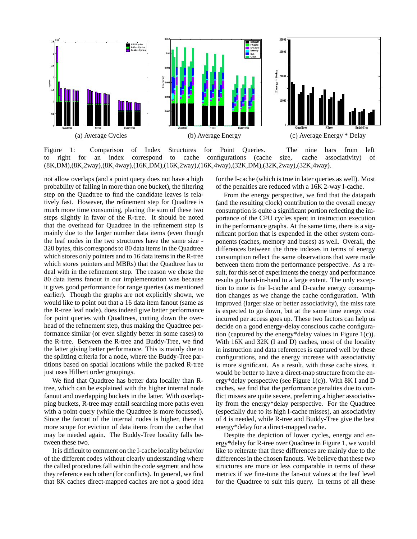

Figure 1: Comparison of Index Structures for Point Queries. The nine bars from left to right for an index correspond to cache configurations (cache size, cache associativity) of (8K,DM),(8K,2way),(8K,4way),(16K,DM),(16K,2way),(16K,4way),(32K,DM),(32K,2way),(32K,4way).

not allow overlaps (and a point query does not have a high probability of falling in more than one bucket), the filtering step on the Quadtree to find the candidate leaves is relatively fast. However, the refinement step for Quadtree is much more time consuming, placing the sum of these two steps slightly in favor of the R-tree. It should be noted that the overhead for Quadtree in the refinement step is mainly due to the larger number data items (even though the leaf nodes in the two structures have the same size - 320 bytes, this corresponds to 80 data items in the Quadtree which stores only pointers and to 16 data items in the R-tree which stores pointers and MBRs) that the Quadtree has to deal with in the refinement step. The reason we chose the 80 data items fanout in our implementation was because it gives good performance for range queries (as mentioned earlier). Though the graphs are not explicitly shown, we would like to point out that a 16 data item fanout (same as the R-tree leaf node), does indeed give better performance for point queries with Quadtrees, cutting down the overhead of the refinement step, thus making the Quadtree performance similar (or even slightly better in some cases) to the R-tree. Between the R-tree and Buddy-Tree, we find the latter giving better performance. This is mainly due to the splitting criteria for a node, where the Buddy-Tree partitions based on spatial locations while the packed R-tree just uses Hilbert order groupings.

We find that Quadtree has better data locality than Rtree, which can be explained with the higher internal node fanout and overlapping buckets in the latter. With overlapping buckets, R-tree may entail searching more paths even with a point query (while the Quadtree is more focussed). Since the fanout of the internal nodes is higher, there is more scope for eviction of data items from the cache that may be needed again. The Buddy-Tree locality falls between these two.

It is difficult to comment on the I-cache locality behavior of the different codes without clearly understanding where the called procedures fall within the code segment and how they reference each other (for conflicts). In general, we find that 8K caches direct-mapped caches are not a good idea for the I-cache (which is true in later queries as well). Most of the penalties are reduced with a 16K 2-way I-cache.

From the energy perspective, we find that the datapath (and the resulting clock) contribution to the overall energy consumption is quite a significant portion reflecting the importance of the CPU cycles spent in instruction execution in the performance graphs. At the same time, there is a significant portion that is expended in the other system components (caches, memory and buses) as well. Overall, the differences between the three indexes in terms of energy consumption reflect the same observations that were made between them from the performance perspective. As a result, for this set of experiments the energy and performance results go hand-in-hand to a large extent. The only exception to note is the I-cache and D-cache energy consumption changes as we change the cache configuration. With improved (larger size or better associativity), the miss rate is expected to go down, but at the same time energy cost incurred per access goes up. These two factors can help us decide on a good energy-delay conscious cache configuration (captured by the energy\*delay values in Figure 1(c)). With 16K and 32K (I and D) caches, most of the locality in instruction and data references is captured well by these configurations, and the energy increase with associativity is more significant. As a result, with these cache sizes, it would be better to have a direct-map structure from the energy\*delay perspective (see Figure 1(c)). With 8K I and D caches, we find that the performance penalties due to conflict misses are quite severe, preferring a higher associativity from the energy\*delay perspective. For the Quadtree (especially due to its high I-cache misses), an associativity of 4 is needed, while R-tree and Buddy-Tree give the best energy\*delay for a direct-mapped cache.

Despite the depiction of lower cycles, energy and energy\*delay for R-tree over Quadtree in Figure 1, we would like to reiterate that these differences are mainly due to the differences in the chosen fanouts. We believe that these two structures are more or less comparable in terms of these metrics if we fine-tune the fan-out values at the leaf level for the Quadtree to suit this query. In terms of all these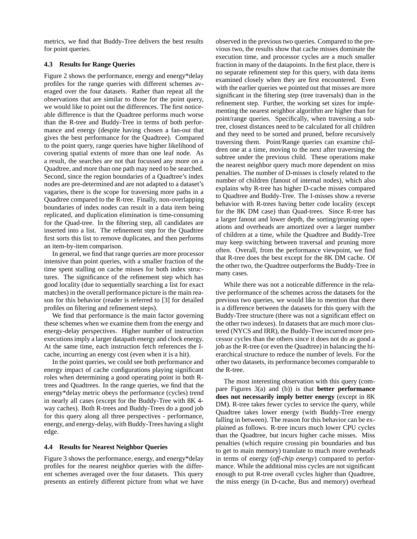metrics, we find that Buddy-Tree delivers the best results for point queries.

## **4.3 Results for Range Queries**

Figure 2 shows the performance, energy and energy\*delay profiles for the range queries with different schemes averaged over the four datasets. Rather than repeat all the observations that are similar to those for the point query, we would like to point out the differences. The first noticeable difference is that the Quadtree performs much worse than the R-tree and Buddy-Tree in terms of both performance and energy (despite having chosen a fan-out that gives the best performance for the Quadtree). Compared to the point query, range queries have higher likelihood of covering spatial extents of more than one leaf node. As a result, the searches are not that focussed any more on a Quadtree, and more than one path may need to be searched. Second, since the region boundaries of a Quadtree's index nodes are pre-determined and are not adapted to a dataset's vagaries, there is the scope for traversing more paths in a Quadtree compared to the R-tree. Finally, non-overlapping boundaries of index nodes can result in a data item being replicated, and duplication elimination is time-consuming for the Quad-tree. In the filtering step, all candidates are inserted into a list. The refinement step for the Quadtree first sorts this list to remove duplicates, and then performs an item-by-item comparison.

In general, we find that range queries are more processor intensive than point queries, with a smaller fraction of the time spent stalling on cache misses for both index structures. The significance of the refinement step which has good locality (due to sequentially searching a list for exact matches) in the overall performance picture is the main reason for this behavior (reader is referred to [3] for detailed profiles on filtering and refinement steps).

We find that performance is the main factor governing these schemes when we examine them from the energy and energy-delay perspectives. Higher number of instruction executions imply a larger datapath energy and clock energy. At the same time, each instruction fetch references the Icache, incurring an energy cost (even when it is a hit).

In the point queries, we could see both performance and energy impact of cache configurations playing significant roles when determining a good operating point in both Rtrees and Quadtrees. In the range queries, we find that the energy\*delay metric obeys the performance (cycles) trend in nearly all cases (except for the Buddy-Tree with 8K 4 way caches). Both R-trees and Buddy-Trees do a good job for this query along all three perspectives - performance, energy, and energy-delay, with Buddy-Trees having a slight edge.

#### **4.4 Results for Nearest Neighbor Queries**

Figure 3 shows the performance, energy, and energy\*delay profiles for the nearest neighbor queries with the different schemes averaged over the four datasets. This query presents an entirely different picture from what we have observed in the previous two queries. Compared to the previous two, the results show that cache misses dominate the execution time, and processor cycles are a much smaller fraction in many of the datapoints. In the first place, there is no separate refinement step for this query, with data items examined closely when they are first encountered. Even with the earlier queries we pointed out that misses are more significant in the filtering step (tree traversals) than in the refinement step. Further, the working set sizes for implementing the nearest neighbor algorithm are higher than for point/range queries. Specifically, when traversing a subtree, closest distances need to be calculated for all children and they need to be sorted and pruned, before recursively traversing them. Point/Range queries can examine children one at a time, moving to the next after traversing the subtree under the previous child. These operations make the nearest neighbor query much more dependent on miss penalties. The number of D-misses is closely related to the number of children (fanout of internal nodes), which also explains why R-tree has higher D-cache misses compared to Quadtree and Buddy-Tree. The I-misses show a reverse behavior with R-trees having better code locality (except for the 8K DM case) than Quad-trees. Since R-tree has a larger fanout and lower depth, the sorting/pruning operations and overheads are amortized over a larger number of children at a time, while the Quadtree and Buddy-Tree may keep switching between traversal and pruning more often. Overall, from the performance viewpoint, we find that R-tree does the best except for the 8K DM cache. Of the other two, the Quadtree outperforms the Buddy-Tree in many cases.

While there was not a noticeable difference in the relative performance of the schemes across the datasets for the previous two queries, we would like to mention that there is a difference between the datasets for this query with the Buddy-Tree structure (there was not a significant effect on the other two indexes). In datasets that are much more clustered (NYCS and IRR), the Buddy-Tree incurred more processor cycles than the others since it does not do as good a job as the R-tree (or even the Quadtree) in balancing the hierarchical structure to reduce the number of levels. For the other two datasets, its performance becomes comparable to the R-tree.

The most interesting observation with this query (compare Figures 3(a) and (b)) is that **better performance does not necessarily imply better energy** (except in 8K DM). R-tree takes fewer cycles to service the query, while Quadtree takes lower energy (with Buddy-Tree energy falling in between). The reason for this behavior can be explained as follows. R-tree incurs much lower CPU cycles than the Quadtree, but incurs higher cache misses. Miss penalties (which require crossing pin boundaries and bus to get to main memory) translate to much more overheads in terms of energy (*off-chip energy*) compared to performance. While the additional miss cycles are not significant enough to put R-tree overall cycles higher than Quadtree, the miss energy (in D-cache, Bus and memory) overhead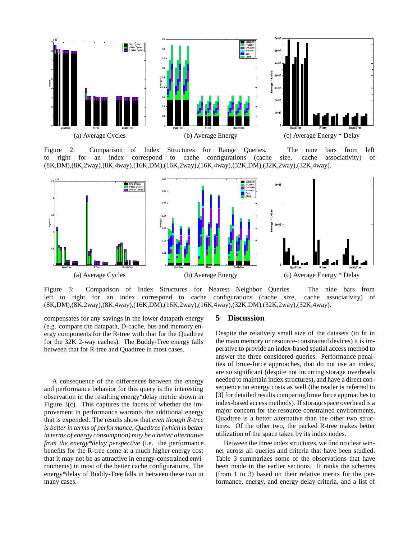

Figure 2: Comparison of Index Structures for Range Queries. The nine bars from left to right for an index correspond to cache configurations (cache size, cache associativity) of (8K,DM),(8K,2way),(8K,4way),(16K,DM),(16K,2way),(16K,4way),(32K,DM),(32K,2way),(32K,4way).



Figure 3: Comparison of Index Structures for Nearest Neighbor Queries. The nine bars from left to right for an index correspond to cache configurations (cache size, cache associativity) of (8K,DM),(8K,2way),(8K,4way),(16K,DM),(16K,2way),(16K,4way),(32K,DM),(32K,2way),(32K,4way).

compensates for any savings in the lower datapath energy (e.g. compare the datapath, D-cache, bus and memory energy components for the R-tree with that for the Quadtree for the 32K 2-way caches). The Buddy-Tree energy falls between that for R-tree and Quadtree in most cases.

A consequence of the differences between the energy and performance behavior for this query is the interesting observation in the resulting energy\*delay metric shown in Figure 3(c). This captures the facets of whether the improvement in performance warrants the additional energy that is expended. The results show that *even though R-tree is better in terms of performance, Quadtree (which is better in terms of energy consumption) may be a better alternative from the energy\*delay perspective* (i.e. the performance benefits for the R-tree come at a much higher energy cost that it may not be as attractive in energy-constrained environments) in most of the better cache configurations. The energy\*delay of Buddy-Tree falls in between these two in many cases.

## **5 Discussion**

Despite the relatively small size of the datasets (to fit in the main memory or resource-constrained devices) it is imperative to provide an index-based spatial access method to answer the three considered queries. Performance penalties of brute-force approaches, that do not use an index, are so significant (despite not incurring storage overheads needed to maintain index structures), and have a direct consequence on energy costs as well (the reader is referred to [3] for detailed results comparing brute force approaches to index-based access methods). If storage space overhead is a major concern for the resource-constrained environments, Quadtree is a better alternative than the other two structures. Of the other two, the packed R-tree makes better utilization of the space taken by its index nodes.

Between the three index structures, we find no clear winner across all queries and criteria that have been studied. Table 3 summarizes some of the observations that have been made in the earlier sections. It ranks the schemes (from 1 to 3) based on their relative merits for the performance, energy, and energy-delay criteria, and a list of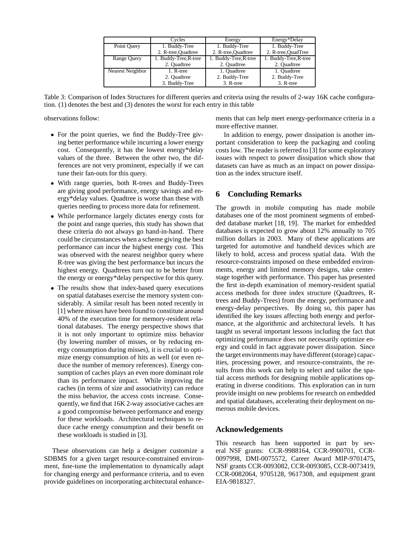|                  | Cycles                | Energy                | Energy*Delay          |
|------------------|-----------------------|-----------------------|-----------------------|
| Point Query      | 1. Buddy-Tree         | 1. Buddy-Tree         | 1. Buddy-Tree         |
|                  | 2. R-tree, Quadtree   | 2. R-tree, Quadtree   | 2. R-tree, QuadTree   |
| Range Ouery      | 1. Buddy-Tree, R-tree | 1. Buddy-Tree, R-tree | 1. Buddy-Tree, R-tree |
|                  | 2. Quadtree           | 2. Quadtree           | 2. Ouadtree           |
| Nearest Neighbor | 1. R-tree             | 1. Quadtree           | 1. Quadtree           |
|                  | 2. Quadtree           | 2. Buddy-Tree         | 2. Buddy-Tree         |
|                  | 3. Buddy-Tree         | 3. R-tree             | 3. R-tree             |

Table 3: Comparison of Index Structures for different queries and criteria using the results of 2-way 16K cache configuration. (1) denotes the best and (3) denotes the worst for each entry in this table

observations follow:

- For the point queries, we find the Buddy-Tree giving better performance while incurring a lower energy cost. Consequently, it has the lowest energy\*delay values of the three. Between the other two, the differences are not very prominent, especially if we can tune their fan-outs for this query.
- With range queries, both R-trees and Buddy-Trees are giving good performance, energy savings and energy\*delay values. Quadtree is worse than these with queries needing to process more data for refinement.
- While performance largely dictates energy costs for the point and range queries, this study has shown that these criteria do not always go hand-in-hand. There could be circumstances when a scheme giving the best performance can incur the highest energy cost. This was observed with the nearest neighbor query where R-tree was giving the best performance but incurs the highest energy. Quadtrees turn out to be better from the energy or energy\*delay perspective for this query.
- The results show that index-based query executions on spatial databases exercise the memory system considerably. A similar result has been noted recently in [1] where misses have been found to constitute around 40% of the execution time for memory-resident relational databases. The energy perspective shows that it is not only important to optimize miss behavior (by lowering number of misses, or by reducing energy consumption during misses), it is crucial to optimize energy consumption of hits as well (or even reduce the number of memory references). Energy consumption of caches plays an even more dominant role than its performance impact. While improving the caches (in terms of size and associativity) can reduce the miss behavior, the access costs increase. Consequently, we find that 16K 2-way associative caches are a good compromise between performance and energy for these workloads. Architectural techniques to reduce cache energy consumption and their benefit on these workloads is studied in [3].

These observations can help a designer customize a SDBMS for a given target resource-constrained environment, fine-tune the implementation to dynamically adapt for changing energy and performance criteria, and to even provide guidelines on incorporating architectural enhancements that can help meet energy-performance criteria in a more effective manner.

In addition to energy, power dissipation is another important consideration to keep the packaging and cooling costs low. The reader is referred to [3] for some exploratory issues with respect to power dissipation which show that datasets can have as much as an impact on power dissipation as the index structure itself.

# **6 Concluding Remarks**

The growth in mobile computing has made mobile databases one of the most prominent segments of embedded database market [18, 19]. The market for embedded databases is expected to grow about 12% annually to 705 million dollars in 2003. Many of these applications are targeted for automotive and handheld devices which are likely to hold, access and process spatial data. With the resource-constraints imposed on these embedded environments, energy and limited memory designs, take centerstage together with performance. This paper has presented the first in-depth examination of memory-resident spatial access methods for three index structure (Quadtrees, Rtrees and Buddy-Trees) from the energy, performance and energy-delay perspectives. By doing so, this paper has identified the key issues affecting both energy and performance, at the algorithmic and architectural levels. It has taught us several important lessons including the fact that optimizing performance does not necessarily optimize energy and could in fact aggravate power dissipation. Since the target environments may have different (storage) capacities, processing power, and resource-constraints, the results from this work can help to select and tailor the spatial access methods for designing mobile applications operating in diverse conditions. This exploration can in turn provide insight on new problems for research on embedded and spatial databases, accelerating their deployment on numerous mobile devices.

## **Acknowledgements**

This research has been supported in part by several NSF grants: CCR-9988164, CCR-9900701, CCR-0097998, DMI-0075572, Career Award MIP-9701475, NSF grants CCR-0093082, CCR-0093085, CCR-0073419, CCR-0082064, 9705128, 9617308, and equipment grant EIA-9818327.